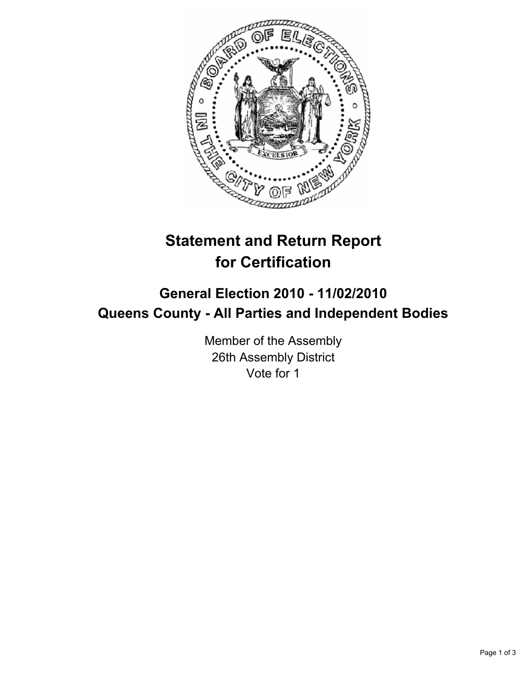

## **Statement and Return Report for Certification**

## **General Election 2010 - 11/02/2010 Queens County - All Parties and Independent Bodies**

Member of the Assembly 26th Assembly District Vote for 1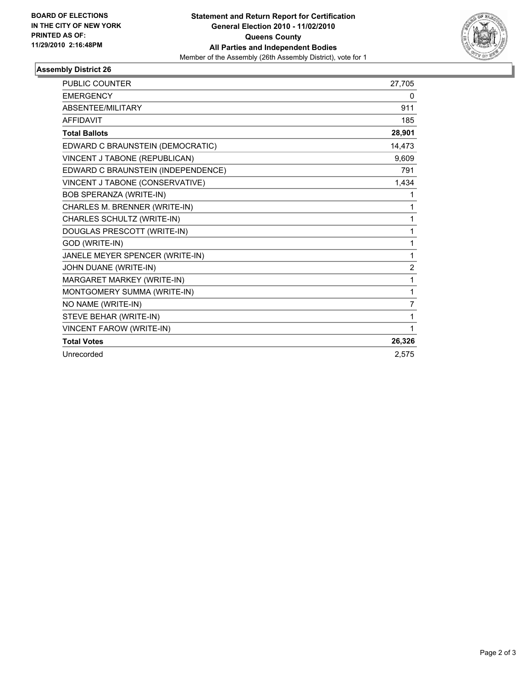

## **Assembly District 26**

| <b>PUBLIC COUNTER</b>              | 27,705         |
|------------------------------------|----------------|
| <b>EMERGENCY</b>                   | 0              |
| <b>ABSENTEE/MILITARY</b>           | 911            |
| <b>AFFIDAVIT</b>                   | 185            |
| <b>Total Ballots</b>               | 28,901         |
| EDWARD C BRAUNSTEIN (DEMOCRATIC)   | 14,473         |
| VINCENT J TABONE (REPUBLICAN)      | 9,609          |
| EDWARD C BRAUNSTEIN (INDEPENDENCE) | 791            |
| VINCENT J TABONE (CONSERVATIVE)    | 1,434          |
| BOB SPERANZA (WRITE-IN)            | 1              |
| CHARLES M. BRENNER (WRITE-IN)      | 1              |
| CHARLES SCHULTZ (WRITE-IN)         | 1              |
| DOUGLAS PRESCOTT (WRITE-IN)        | 1              |
| GOD (WRITE-IN)                     | 1              |
| JANELE MEYER SPENCER (WRITE-IN)    | 1              |
| JOHN DUANE (WRITE-IN)              | $\overline{2}$ |
| MARGARET MARKEY (WRITE-IN)         | 1              |
| MONTGOMERY SUMMA (WRITE-IN)        | 1              |
| NO NAME (WRITE-IN)                 | 7              |
| STEVE BEHAR (WRITE-IN)             | 1              |
| <b>VINCENT FAROW (WRITE-IN)</b>    | 1              |
| <b>Total Votes</b>                 | 26,326         |
| Unrecorded                         | 2,575          |